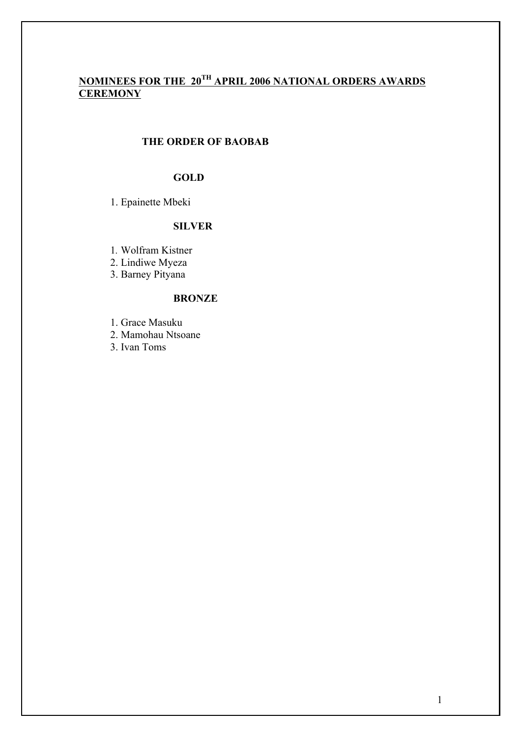# **NOMINEES FOR THE 20TH APRIL 2006 NATIONAL ORDERS AWARDS CEREMONY**

## **THE ORDER OF BAOBAB**

## **GOLD**

1. Epainette Mbeki

## **SILVER**

1*.* Wolfram Kistner

2. Lindiwe Myeza

3. Barney Pityana

#### **BRONZE**

1. Grace Masuku

2. Mamohau Ntsoane

3. Ivan Toms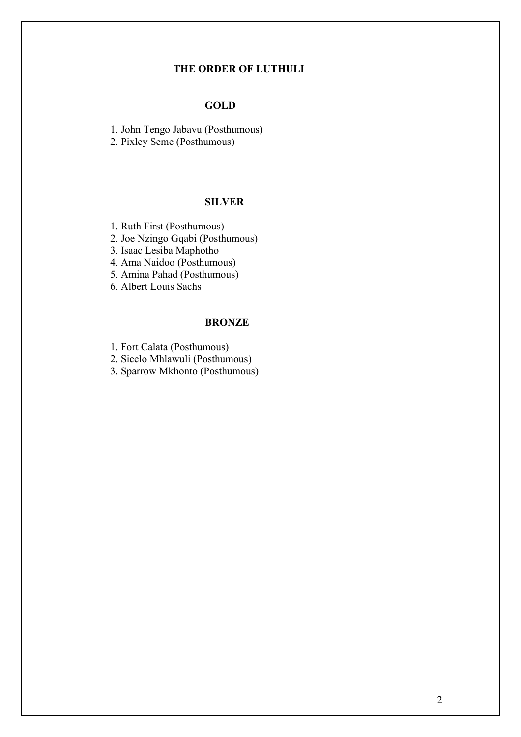#### **THE ORDER OF LUTHULI**

### **GOLD**

1. John Tengo Jabavu (Posthumous)

2. Pixley Seme (Posthumous)

### **SILVER**

1. Ruth First (Posthumous)

2. Joe Nzingo Gqabi (Posthumous)

3. Isaac Lesiba Maphotho

4. Ama Naidoo (Posthumous)

5. Amina Pahad (Posthumous)

6. Albert Louis Sachs

### **BRONZE**

1. Fort Calata (Posthumous)

2. Sicelo Mhlawuli (Posthumous)

3. Sparrow Mkhonto (Posthumous)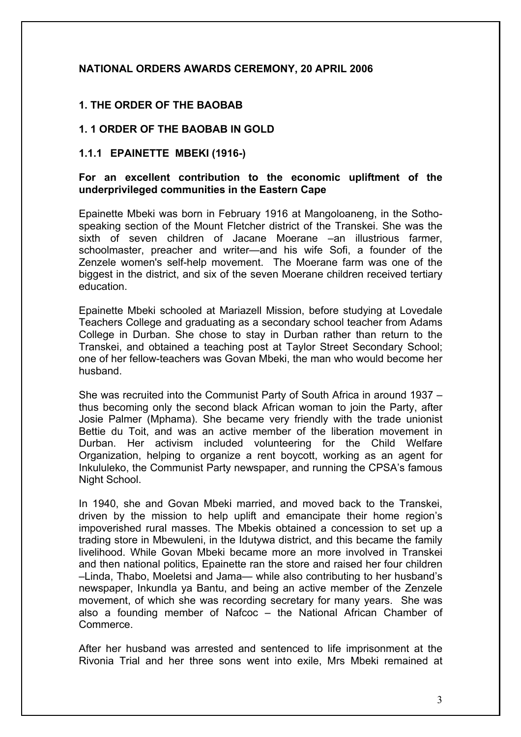## **NATIONAL ORDERS AWARDS CEREMONY, 20 APRIL 2006**

## **1. THE ORDER OF THE BAOBAB**

### **1. 1 ORDER OF THE BAOBAB IN GOLD**

#### **1.1.1 EPAINETTE MBEKI (1916-)**

#### **For an excellent contribution to the economic upliftment of the underprivileged communities in the Eastern Cape**

Epainette Mbeki was born in February 1916 at Mangoloaneng, in the Sothospeaking section of the Mount Fletcher district of the Transkei. She was the sixth of seven children of Jacane Moerane –an illustrious farmer, schoolmaster, preacher and writer—and his wife Sofi, a founder of the Zenzele women's self-help movement. The Moerane farm was one of the biggest in the district, and six of the seven Moerane children received tertiary education.

Epainette Mbeki schooled at Mariazell Mission, before studying at Lovedale Teachers College and graduating as a secondary school teacher from Adams College in Durban. She chose to stay in Durban rather than return to the Transkei, and obtained a teaching post at Taylor Street Secondary School; one of her fellow-teachers was Govan Mbeki, the man who would become her husband.

She was recruited into the Communist Party of South Africa in around 1937 – thus becoming only the second black African woman to join the Party, after Josie Palmer (Mphama). She became very friendly with the trade unionist Bettie du Toit, and was an active member of the liberation movement in Durban. Her activism included volunteering for the Child Welfare Organization, helping to organize a rent boycott, working as an agent for Inkululeko, the Communist Party newspaper, and running the CPSA's famous Night School.

In 1940, she and Govan Mbeki married, and moved back to the Transkei, driven by the mission to help uplift and emancipate their home region's impoverished rural masses. The Mbekis obtained a concession to set up a trading store in Mbewuleni, in the Idutywa district, and this became the family livelihood. While Govan Mbeki became more an more involved in Transkei and then national politics, Epainette ran the store and raised her four children –Linda, Thabo, Moeletsi and Jama— while also contributing to her husband's newspaper, Inkundla ya Bantu, and being an active member of the Zenzele movement, of which she was recording secretary for many years. She was also a founding member of Nafcoc – the National African Chamber of Commerce.

After her husband was arrested and sentenced to life imprisonment at the Rivonia Trial and her three sons went into exile, Mrs Mbeki remained at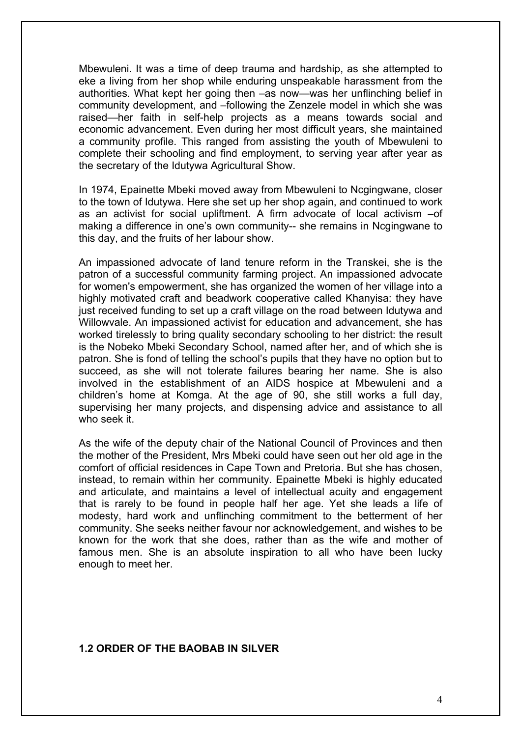Mbewuleni. It was a time of deep trauma and hardship, as she attempted to eke a living from her shop while enduring unspeakable harassment from the authorities. What kept her going then –as now—was her unflinching belief in community development, and –following the Zenzele model in which she was raised—her faith in self-help projects as a means towards social and economic advancement. Even during her most difficult years, she maintained a community profile. This ranged from assisting the youth of Mbewuleni to complete their schooling and find employment, to serving year after year as the secretary of the Idutywa Agricultural Show.

In 1974, Epainette Mbeki moved away from Mbewuleni to Ncgingwane, closer to the town of Idutywa. Here she set up her shop again, and continued to work as an activist for social upliftment. A firm advocate of local activism –of making a difference in one's own community-- she remains in Ncgingwane to this day, and the fruits of her labour show.

An impassioned advocate of land tenure reform in the Transkei, she is the patron of a successful community farming project. An impassioned advocate for women's empowerment, she has organized the women of her village into a highly motivated craft and beadwork cooperative called Khanyisa: they have just received funding to set up a craft village on the road between Idutywa and Willowvale. An impassioned activist for education and advancement, she has worked tirelessly to bring quality secondary schooling to her district: the result is the Nobeko Mbeki Secondary School, named after her, and of which she is patron. She is fond of telling the school's pupils that they have no option but to succeed, as she will not tolerate failures bearing her name. She is also involved in the establishment of an AIDS hospice at Mbewuleni and a children's home at Komga. At the age of 90, she still works a full day, supervising her many projects, and dispensing advice and assistance to all who seek it.

As the wife of the deputy chair of the National Council of Provinces and then the mother of the President, Mrs Mbeki could have seen out her old age in the comfort of official residences in Cape Town and Pretoria. But she has chosen, instead, to remain within her community. Epainette Mbeki is highly educated and articulate, and maintains a level of intellectual acuity and engagement that is rarely to be found in people half her age. Yet she leads a life of modesty, hard work and unflinching commitment to the betterment of her community. She seeks neither favour nor acknowledgement, and wishes to be known for the work that she does, rather than as the wife and mother of famous men. She is an absolute inspiration to all who have been lucky enough to meet her.

#### **1.2 ORDER OF THE BAOBAB IN SILVER**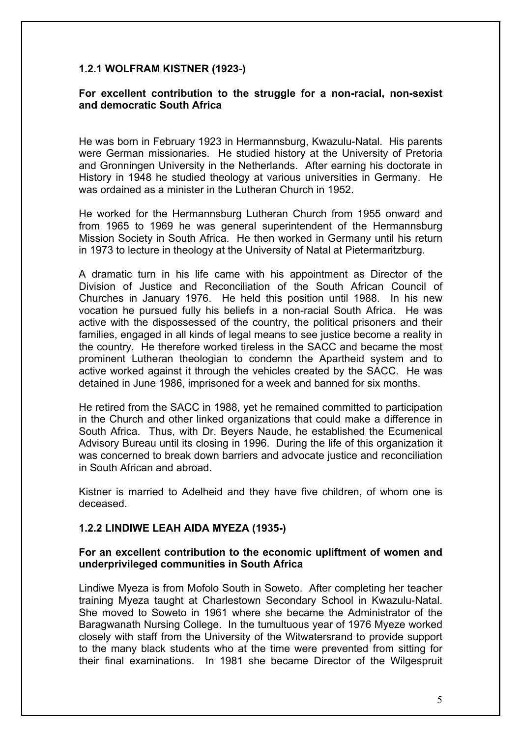## **1.2.1 WOLFRAM KISTNER (1923-)**

### **For excellent contribution to the struggle for a non-racial, non-sexist and democratic South Africa**

He was born in February 1923 in Hermannsburg, Kwazulu-Natal. His parents were German missionaries. He studied history at the University of Pretoria and Gronningen University in the Netherlands. After earning his doctorate in History in 1948 he studied theology at various universities in Germany. He was ordained as a minister in the Lutheran Church in 1952.

He worked for the Hermannsburg Lutheran Church from 1955 onward and from 1965 to 1969 he was general superintendent of the Hermannsburg Mission Society in South Africa. He then worked in Germany until his return in 1973 to lecture in theology at the University of Natal at Pietermaritzburg.

A dramatic turn in his life came with his appointment as Director of the Division of Justice and Reconciliation of the South African Council of Churches in January 1976. He held this position until 1988. In his new vocation he pursued fully his beliefs in a non-racial South Africa. He was active with the dispossessed of the country, the political prisoners and their families, engaged in all kinds of legal means to see justice become a reality in the country. He therefore worked tireless in the SACC and became the most prominent Lutheran theologian to condemn the Apartheid system and to active worked against it through the vehicles created by the SACC. He was detained in June 1986, imprisoned for a week and banned for six months.

He retired from the SACC in 1988, yet he remained committed to participation in the Church and other linked organizations that could make a difference in South Africa. Thus, with Dr. Beyers Naude, he established the Ecumenical Advisory Bureau until its closing in 1996. During the life of this organization it was concerned to break down barriers and advocate justice and reconciliation in South African and abroad.

Kistner is married to Adelheid and they have five children, of whom one is deceased.

### **1.2.2 LINDIWE LEAH AIDA MYEZA (1935-)**

#### **For an excellent contribution to the economic upliftment of women and underprivileged communities in South Africa**

Lindiwe Myeza is from Mofolo South in Soweto. After completing her teacher training Myeza taught at Charlestown Secondary School in Kwazulu-Natal. She moved to Soweto in 1961 where she became the Administrator of the Baragwanath Nursing College. In the tumultuous year of 1976 Myeze worked closely with staff from the University of the Witwatersrand to provide support to the many black students who at the time were prevented from sitting for their final examinations. In 1981 she became Director of the Wilgespruit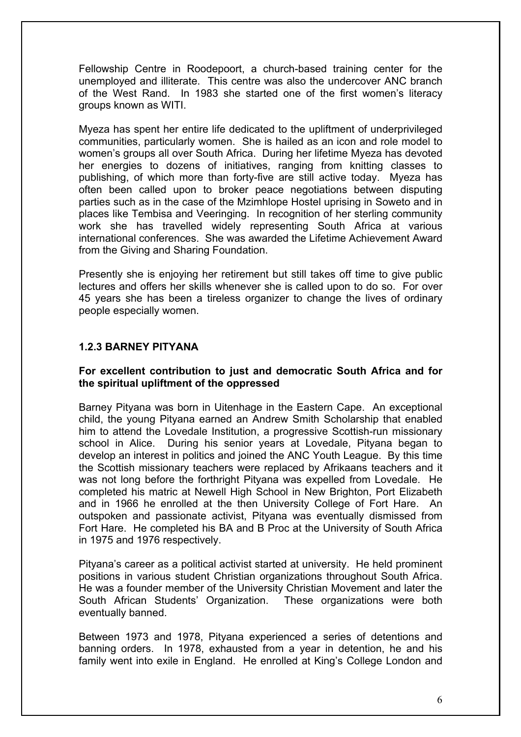Fellowship Centre in Roodepoort, a church-based training center for the unemployed and illiterate. This centre was also the undercover ANC branch of the West Rand. In 1983 she started one of the first women's literacy groups known as WITI.

Myeza has spent her entire life dedicated to the upliftment of underprivileged communities, particularly women. She is hailed as an icon and role model to women's groups all over South Africa. During her lifetime Myeza has devoted her energies to dozens of initiatives, ranging from knitting classes to publishing, of which more than forty-five are still active today. Myeza has often been called upon to broker peace negotiations between disputing parties such as in the case of the Mzimhlope Hostel uprising in Soweto and in places like Tembisa and Veeringing. In recognition of her sterling community work she has travelled widely representing South Africa at various international conferences. She was awarded the Lifetime Achievement Award from the Giving and Sharing Foundation.

Presently she is enjoying her retirement but still takes off time to give public lectures and offers her skills whenever she is called upon to do so. For over 45 years she has been a tireless organizer to change the lives of ordinary people especially women.

## **1.2.3 BARNEY PITYANA**

### **For excellent contribution to just and democratic South Africa and for the spiritual upliftment of the oppressed**

Barney Pityana was born in Uitenhage in the Eastern Cape. An exceptional child, the young Pityana earned an Andrew Smith Scholarship that enabled him to attend the Lovedale Institution, a progressive Scottish-run missionary school in Alice. During his senior years at Lovedale, Pityana began to develop an interest in politics and joined the ANC Youth League. By this time the Scottish missionary teachers were replaced by Afrikaans teachers and it was not long before the forthright Pityana was expelled from Lovedale. He completed his matric at Newell High School in New Brighton, Port Elizabeth and in 1966 he enrolled at the then University College of Fort Hare. An outspoken and passionate activist, Pityana was eventually dismissed from Fort Hare. He completed his BA and B Proc at the University of South Africa in 1975 and 1976 respectively.

Pityana's career as a political activist started at university. He held prominent positions in various student Christian organizations throughout South Africa. He was a founder member of the University Christian Movement and later the South African Students' Organization. These organizations were both eventually banned.

Between 1973 and 1978, Pityana experienced a series of detentions and banning orders. In 1978, exhausted from a year in detention, he and his family went into exile in England. He enrolled at King's College London and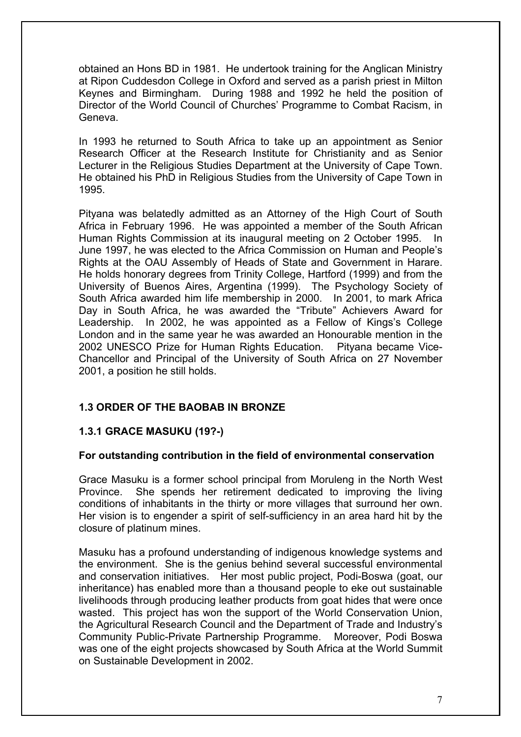obtained an Hons BD in 1981. He undertook training for the Anglican Ministry at Ripon Cuddesdon College in Oxford and served as a parish priest in Milton Keynes and Birmingham. During 1988 and 1992 he held the position of Director of the World Council of Churches' Programme to Combat Racism, in Geneva.

In 1993 he returned to South Africa to take up an appointment as Senior Research Officer at the Research Institute for Christianity and as Senior Lecturer in the Religious Studies Department at the University of Cape Town. He obtained his PhD in Religious Studies from the University of Cape Town in 1995.

Pityana was belatedly admitted as an Attorney of the High Court of South Africa in February 1996. He was appointed a member of the South African Human Rights Commission at its inaugural meeting on 2 October 1995. June 1997, he was elected to the Africa Commission on Human and People's Rights at the OAU Assembly of Heads of State and Government in Harare. He holds honorary degrees from Trinity College, Hartford (1999) and from the University of Buenos Aires, Argentina (1999). The Psychology Society of South Africa awarded him life membership in 2000. In 2001, to mark Africa Day in South Africa, he was awarded the "Tribute" Achievers Award for Leadership. In 2002, he was appointed as a Fellow of Kings's College London and in the same year he was awarded an Honourable mention in the 2002 UNESCO Prize for Human Rights Education. Pityana became Vice-Chancellor and Principal of the University of South Africa on 27 November 2001, a position he still holds.

## **1.3 ORDER OF THE BAOBAB IN BRONZE**

## **1.3.1 GRACE MASUKU (19?-)**

### **For outstanding contribution in the field of environmental conservation**

Grace Masuku is a former school principal from Moruleng in the North West Province. She spends her retirement dedicated to improving the living conditions of inhabitants in the thirty or more villages that surround her own. Her vision is to engender a spirit of self-sufficiency in an area hard hit by the closure of platinum mines.

Masuku has a profound understanding of indigenous knowledge systems and the environment. She is the genius behind several successful environmental and conservation initiatives. Her most public project, Podi-Boswa (goat, our inheritance) has enabled more than a thousand people to eke out sustainable livelihoods through producing leather products from goat hides that were once wasted. This project has won the support of the World Conservation Union, the Agricultural Research Council and the Department of Trade and Industry's Community Public-Private Partnership Programme. Moreover, Podi Boswa was one of the eight projects showcased by South Africa at the World Summit on Sustainable Development in 2002.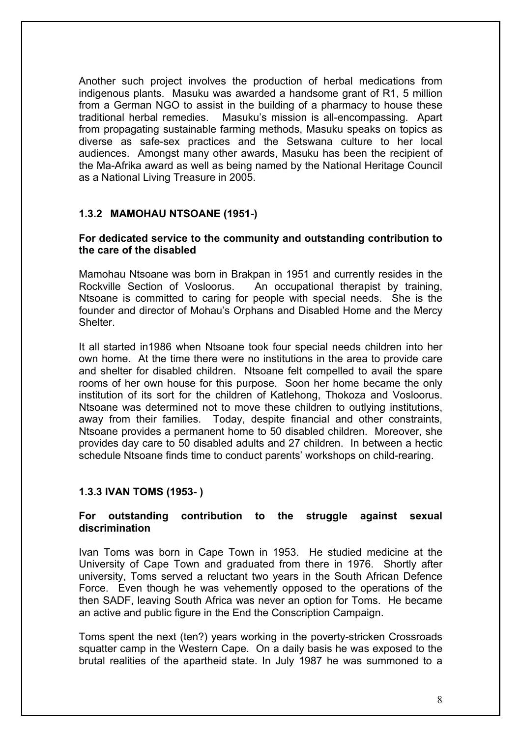Another such project involves the production of herbal medications from indigenous plants. Masuku was awarded a handsome grant of R1, 5 million from a German NGO to assist in the building of a pharmacy to house these traditional herbal remedies. Masuku's mission is all-encompassing. Apart from propagating sustainable farming methods, Masuku speaks on topics as diverse as safe-sex practices and the Setswana culture to her local audiences. Amongst many other awards, Masuku has been the recipient of the Ma-Afrika award as well as being named by the National Heritage Council as a National Living Treasure in 2005.

## **1.3.2 MAMOHAU NTSOANE (1951-)**

### **For dedicated service to the community and outstanding contribution to the care of the disabled**

Mamohau Ntsoane was born in Brakpan in 1951 and currently resides in the Rockville Section of Vosloorus. An occupational therapist by training, Ntsoane is committed to caring for people with special needs. She is the founder and director of Mohau's Orphans and Disabled Home and the Mercy **Shelter** 

It all started in1986 when Ntsoane took four special needs children into her own home. At the time there were no institutions in the area to provide care and shelter for disabled children. Ntsoane felt compelled to avail the spare rooms of her own house for this purpose. Soon her home became the only institution of its sort for the children of Katlehong, Thokoza and Vosloorus. Ntsoane was determined not to move these children to outlying institutions, away from their families. Today, despite financial and other constraints, Ntsoane provides a permanent home to 50 disabled children. Moreover, she provides day care to 50 disabled adults and 27 children. In between a hectic schedule Ntsoane finds time to conduct parents' workshops on child-rearing.

### **1.3.3 IVAN TOMS (1953- )**

#### **For outstanding contribution to the struggle against sexual discrimination**

Ivan Toms was born in Cape Town in 1953. He studied medicine at the University of Cape Town and graduated from there in 1976. Shortly after university, Toms served a reluctant two years in the South African Defence Force. Even though he was vehemently opposed to the operations of the then SADF, leaving South Africa was never an option for Toms. He became an active and public figure in the End the Conscription Campaign.

Toms spent the next (ten?) years working in the poverty-stricken Crossroads squatter camp in the Western Cape. On a daily basis he was exposed to the brutal realities of the apartheid state. In July 1987 he was summoned to a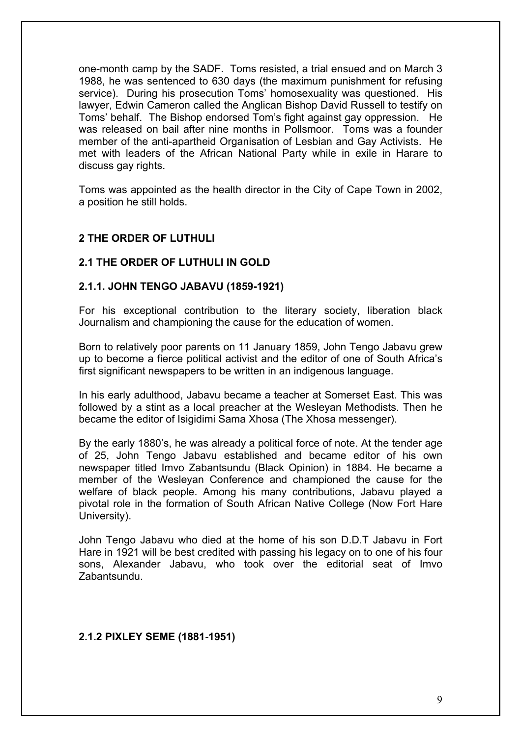one-month camp by the SADF. Toms resisted, a trial ensued and on March 3 1988, he was sentenced to 630 days (the maximum punishment for refusing service). During his prosecution Toms' homosexuality was questioned. His lawyer, Edwin Cameron called the Anglican Bishop David Russell to testify on Toms' behalf. The Bishop endorsed Tom's fight against gay oppression. He was released on bail after nine months in Pollsmoor. Toms was a founder member of the anti-apartheid Organisation of Lesbian and Gay Activists. He met with leaders of the African National Party while in exile in Harare to discuss gay rights.

Toms was appointed as the health director in the City of Cape Town in 2002, a position he still holds.

### **2 THE ORDER OF LUTHULI**

#### **2.1 THE ORDER OF LUTHULI IN GOLD**

#### **2.1.1. JOHN TENGO JABAVU (1859-1921)**

For his exceptional contribution to the literary society, liberation black Journalism and championing the cause for the education of women.

Born to relatively poor parents on 11 January 1859, John Tengo Jabavu grew up to become a fierce political activist and the editor of one of South Africa's first significant newspapers to be written in an indigenous language.

In his early adulthood, Jabavu became a teacher at Somerset East. This was followed by a stint as a local preacher at the Wesleyan Methodists. Then he became the editor of Isigidimi Sama Xhosa (The Xhosa messenger).

By the early 1880's, he was already a political force of note. At the tender age of 25, John Tengo Jabavu established and became editor of his own newspaper titled Imvo Zabantsundu (Black Opinion) in 1884. He became a member of the Wesleyan Conference and championed the cause for the welfare of black people. Among his many contributions, Jabavu played a pivotal role in the formation of South African Native College (Now Fort Hare University).

John Tengo Jabavu who died at the home of his son D.D.T Jabavu in Fort Hare in 1921 will be best credited with passing his legacy on to one of his four sons, Alexander Jabavu, who took over the editorial seat of Imvo Zabantsundu.

#### **2.1.2 PIXLEY SEME (1881-1951)**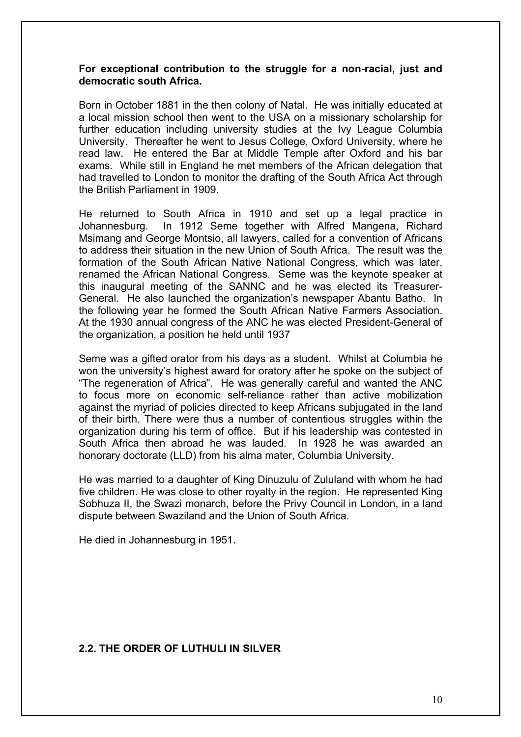#### **For exceptional contribution to the struggle for a non-racial, just and democratic south Africa.**

Born in October 1881 in the then colony of Natal. He was initially educated at a local mission school then went to the USA on a missionary scholarship for further education including university studies at the Ivy League Columbia University. Thereafter he went to Jesus College, Oxford University, where he read law. He entered the Bar at Middle Temple after Oxford and his bar exams. While still in England he met members of the African delegation that had travelled to London to monitor the drafting of the South Africa Act through the British Parliament in 1909.

He returned to South Africa in 1910 and set up a legal practice in Johannesburg. In 1912 Seme together with Alfred Mangena, Richard Msimang and George Montsio, all lawyers, called for a convention of Africans to address their situation in the new Union of South Africa. The result was the formation of the South African Native National Congress, which was later, renamed the African National Congress. Seme was the keynote speaker at this inaugural meeting of the SANNC and he was elected its Treasurer-General. He also launched the organization's newspaper Abantu Batho. In the following year he formed the South African Native Farmers Association. At the 1930 annual congress of the ANC he was elected President-General of the organization, a position he held until 1937

Seme was a gifted orator from his days as a student. Whilst at Columbia he won the university's highest award for oratory after he spoke on the subject of "The regeneration of Africa". He was generally careful and wanted the ANC to focus more on economic self-reliance rather than active mobilization against the myriad of policies directed to keep Africans subjugated in the land of their birth. There were thus a number of contentious struggles within the organization during his term of office. But if his leadership was contested in South Africa then abroad he was lauded. In 1928 he was awarded an honorary doctorate (LLD) from his alma mater, Columbia University.

He was married to a daughter of King Dinuzulu of Zululand with whom he had five children. He was close to other royalty in the region. He represented King Sobhuza II, the Swazi monarch, before the Privy Council in London, in a land dispute between Swaziland and the Union of South Africa.

He died in Johannesburg in 1951.

### **2.2. THE ORDER OF LUTHULI IN SILVER**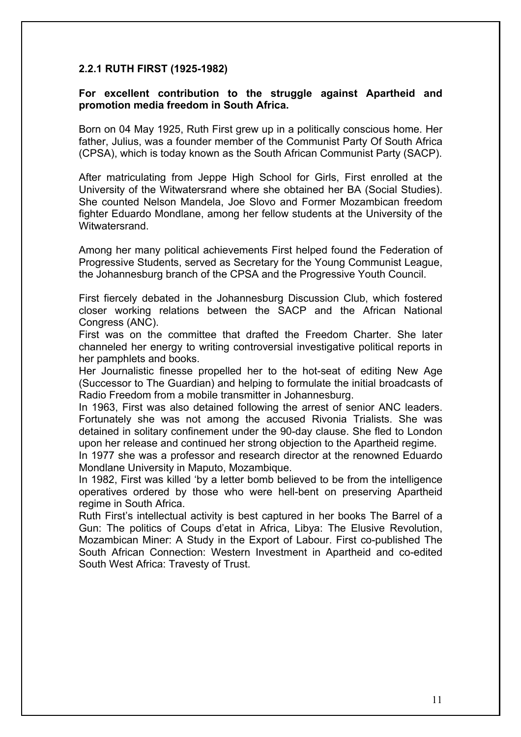### **2.2.1 RUTH FIRST (1925-1982)**

#### **For excellent contribution to the struggle against Apartheid and promotion media freedom in South Africa.**

Born on 04 May 1925, Ruth First grew up in a politically conscious home. Her father, Julius, was a founder member of the Communist Party Of South Africa (CPSA), which is today known as the South African Communist Party (SACP).

After matriculating from Jeppe High School for Girls, First enrolled at the University of the Witwatersrand where she obtained her BA (Social Studies). She counted Nelson Mandela, Joe Slovo and Former Mozambican freedom fighter Eduardo Mondlane, among her fellow students at the University of the Witwatersrand.

Among her many political achievements First helped found the Federation of Progressive Students, served as Secretary for the Young Communist League, the Johannesburg branch of the CPSA and the Progressive Youth Council.

First fiercely debated in the Johannesburg Discussion Club, which fostered closer working relations between the SACP and the African National Congress (ANC).

First was on the committee that drafted the Freedom Charter. She later channeled her energy to writing controversial investigative political reports in her pamphlets and books.

Her Journalistic finesse propelled her to the hot-seat of editing New Age (Successor to The Guardian) and helping to formulate the initial broadcasts of Radio Freedom from a mobile transmitter in Johannesburg.

In 1963, First was also detained following the arrest of senior ANC leaders. Fortunately she was not among the accused Rivonia Trialists. She was detained in solitary confinement under the 90-day clause. She fled to London upon her release and continued her strong objection to the Apartheid regime.

In 1977 she was a professor and research director at the renowned Eduardo Mondlane University in Maputo, Mozambique.

In 1982, First was killed 'by a letter bomb believed to be from the intelligence operatives ordered by those who were hell-bent on preserving Apartheid regime in South Africa.

Ruth First's intellectual activity is best captured in her books The Barrel of a Gun: The politics of Coups d'etat in Africa, Libya: The Elusive Revolution, Mozambican Miner: A Study in the Export of Labour. First co-published The South African Connection: Western Investment in Apartheid and co-edited South West Africa: Travesty of Trust.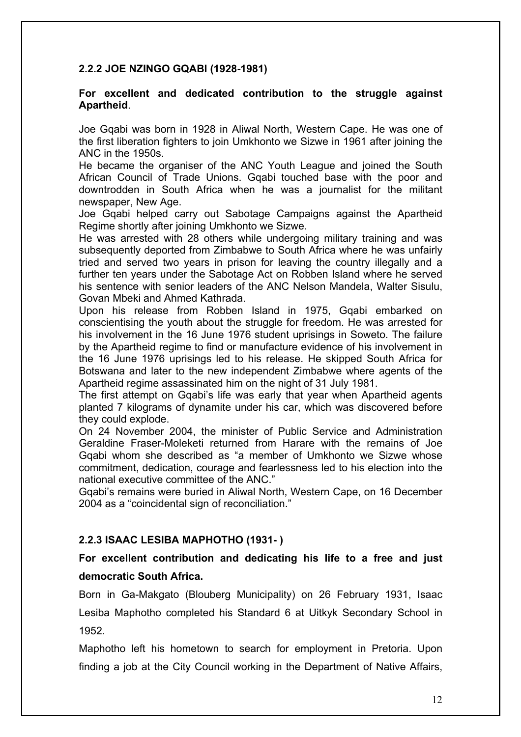## **2.2.2 JOE NZINGO GQABI (1928-1981)**

#### **For excellent and dedicated contribution to the struggle against Apartheid**.

Joe Gqabi was born in 1928 in Aliwal North, Western Cape. He was one of the first liberation fighters to join Umkhonto we Sizwe in 1961 after joining the ANC in the 1950s.

He became the organiser of the ANC Youth League and joined the South African Council of Trade Unions. Gqabi touched base with the poor and downtrodden in South Africa when he was a journalist for the militant newspaper, New Age.

Joe Gqabi helped carry out Sabotage Campaigns against the Apartheid Regime shortly after joining Umkhonto we Sizwe.

He was arrested with 28 others while undergoing military training and was subsequently deported from Zimbabwe to South Africa where he was unfairly tried and served two years in prison for leaving the country illegally and a further ten years under the Sabotage Act on Robben Island where he served his sentence with senior leaders of the ANC Nelson Mandela, Walter Sisulu, Govan Mbeki and Ahmed Kathrada.

Upon his release from Robben Island in 1975, Gqabi embarked on conscientising the youth about the struggle for freedom. He was arrested for his involvement in the 16 June 1976 student uprisings in Soweto. The failure by the Apartheid regime to find or manufacture evidence of his involvement in the 16 June 1976 uprisings led to his release. He skipped South Africa for Botswana and later to the new independent Zimbabwe where agents of the Apartheid regime assassinated him on the night of 31 July 1981.

The first attempt on Gqabi's life was early that year when Apartheid agents planted 7 kilograms of dynamite under his car, which was discovered before they could explode.

On 24 November 2004, the minister of Public Service and Administration Geraldine Fraser-Moleketi returned from Harare with the remains of Joe Gqabi whom she described as "a member of Umkhonto we Sizwe whose commitment, dedication, courage and fearlessness led to his election into the national executive committee of the ANC."

Gqabi's remains were buried in Aliwal North, Western Cape, on 16 December 2004 as a "coincidental sign of reconciliation."

### **2.2.3 ISAAC LESIBA MAPHOTHO (1931- )**

# **For excellent contribution and dedicating his life to a free and just democratic South Africa.**

Born in Ga-Makgato (Blouberg Municipality) on 26 February 1931, Isaac Lesiba Maphotho completed his Standard 6 at Uitkyk Secondary School in 1952.

Maphotho left his hometown to search for employment in Pretoria. Upon finding a job at the City Council working in the Department of Native Affairs,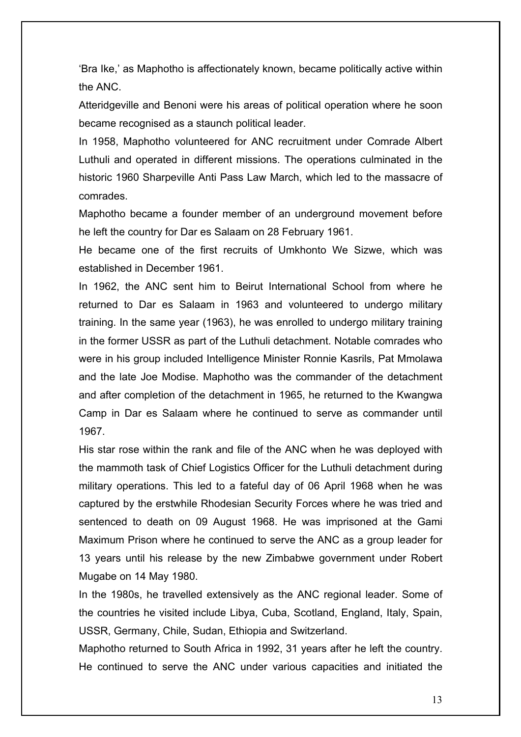'Bra Ike,' as Maphotho is affectionately known, became politically active within the ANC.

Atteridgeville and Benoni were his areas of political operation where he soon became recognised as a staunch political leader.

In 1958, Maphotho volunteered for ANC recruitment under Comrade Albert Luthuli and operated in different missions. The operations culminated in the historic 1960 Sharpeville Anti Pass Law March, which led to the massacre of comrades.

Maphotho became a founder member of an underground movement before he left the country for Dar es Salaam on 28 February 1961.

He became one of the first recruits of Umkhonto We Sizwe, which was established in December 1961.

In 1962, the ANC sent him to Beirut International School from where he returned to Dar es Salaam in 1963 and volunteered to undergo military training. In the same year (1963), he was enrolled to undergo military training in the former USSR as part of the Luthuli detachment. Notable comrades who were in his group included Intelligence Minister Ronnie Kasrils, Pat Mmolawa and the late Joe Modise. Maphotho was the commander of the detachment and after completion of the detachment in 1965, he returned to the Kwangwa Camp in Dar es Salaam where he continued to serve as commander until 1967.

His star rose within the rank and file of the ANC when he was deployed with the mammoth task of Chief Logistics Officer for the Luthuli detachment during military operations. This led to a fateful day of 06 April 1968 when he was captured by the erstwhile Rhodesian Security Forces where he was tried and sentenced to death on 09 August 1968. He was imprisoned at the Gami Maximum Prison where he continued to serve the ANC as a group leader for 13 years until his release by the new Zimbabwe government under Robert Mugabe on 14 May 1980.

In the 1980s, he travelled extensively as the ANC regional leader. Some of the countries he visited include Libya, Cuba, Scotland, England, Italy, Spain, USSR, Germany, Chile, Sudan, Ethiopia and Switzerland.

Maphotho returned to South Africa in 1992, 31 years after he left the country. He continued to serve the ANC under various capacities and initiated the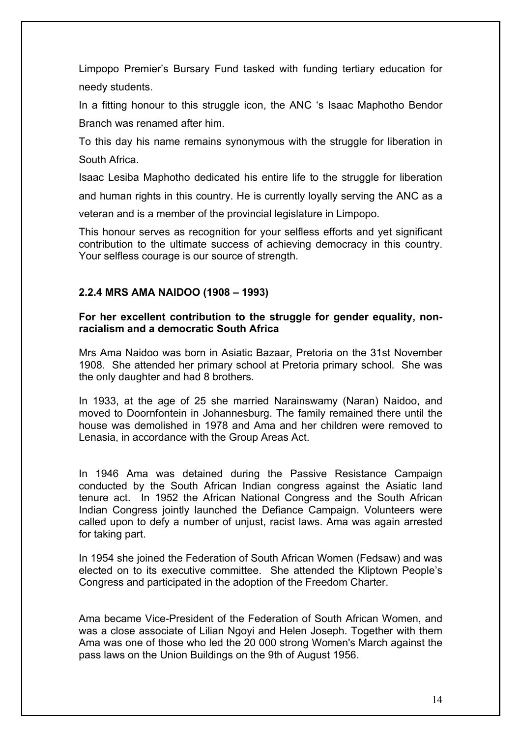Limpopo Premier's Bursary Fund tasked with funding tertiary education for needy students.

In a fitting honour to this struggle icon, the ANC 's Isaac Maphotho Bendor Branch was renamed after him.

To this day his name remains synonymous with the struggle for liberation in South Africa.

Isaac Lesiba Maphotho dedicated his entire life to the struggle for liberation and human rights in this country. He is currently loyally serving the ANC as a veteran and is a member of the provincial legislature in Limpopo.

This honour serves as recognition for your selfless efforts and yet significant contribution to the ultimate success of achieving democracy in this country. Your selfless courage is our source of strength.

## **2.2.4 MRS AMA NAIDOO (1908 – 1993)**

### **For her excellent contribution to the struggle for gender equality, nonracialism and a democratic South Africa**

Mrs Ama Naidoo was born in Asiatic Bazaar, Pretoria on the 31st November 1908. She attended her primary school at Pretoria primary school. She was the only daughter and had 8 brothers.

In 1933, at the age of 25 she married Narainswamy (Naran) Naidoo, and moved to Doornfontein in Johannesburg. The family remained there until the house was demolished in 1978 and Ama and her children were removed to Lenasia, in accordance with the Group Areas Act.

In 1946 Ama was detained during the Passive Resistance Campaign conducted by the South African Indian congress against the Asiatic land tenure act. In 1952 the African National Congress and the South African Indian Congress jointly launched the Defiance Campaign. Volunteers were called upon to defy a number of unjust, racist laws. Ama was again arrested for taking part.

In 1954 she joined the Federation of South African Women (Fedsaw) and was elected on to its executive committee. She attended the Kliptown People's Congress and participated in the adoption of the Freedom Charter.

Ama became Vice-President of the Federation of South African Women, and was a close associate of Lilian Ngoyi and Helen Joseph. Together with them Ama was one of those who led the 20 000 strong Women's March against the pass laws on the Union Buildings on the 9th of August 1956.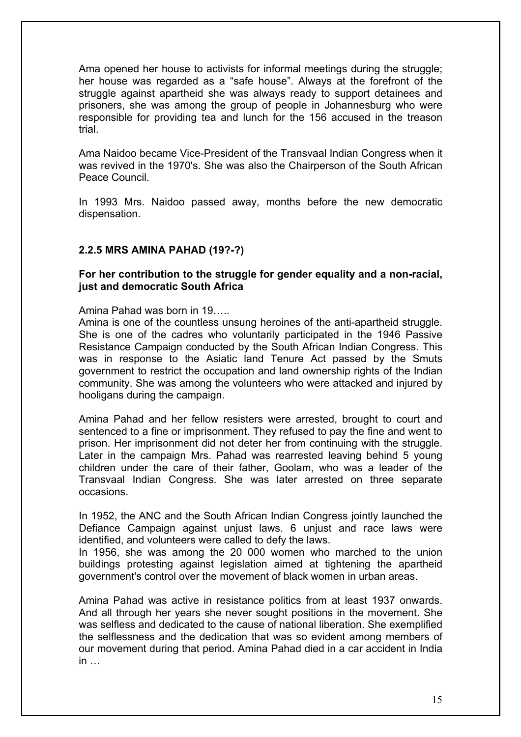Ama opened her house to activists for informal meetings during the struggle; her house was regarded as a "safe house". Always at the forefront of the struggle against apartheid she was always ready to support detainees and prisoners, she was among the group of people in Johannesburg who were responsible for providing tea and lunch for the 156 accused in the treason trial.

Ama Naidoo became Vice-President of the Transvaal Indian Congress when it was revived in the 1970's. She was also the Chairperson of the South African Peace Council.

In 1993 Mrs. Naidoo passed away, months before the new democratic dispensation.

## **2.2.5 MRS AMINA PAHAD (19?-?)**

## **For her contribution to the struggle for gender equality and a non-racial, just and democratic South Africa**

Amina Pahad was born in 19…..

Amina is one of the countless unsung heroines of the anti-apartheid struggle. She is one of the cadres who voluntarily participated in the 1946 Passive Resistance Campaign conducted by the South African Indian Congress. This was in response to the Asiatic land Tenure Act passed by the Smuts government to restrict the occupation and land ownership rights of the Indian community. She was among the volunteers who were attacked and injured by hooligans during the campaign.

Amina Pahad and her fellow resisters were arrested, brought to court and sentenced to a fine or imprisonment. They refused to pay the fine and went to prison. Her imprisonment did not deter her from continuing with the struggle. Later in the campaign Mrs. Pahad was rearrested leaving behind 5 young children under the care of their father, Goolam, who was a leader of the Transvaal Indian Congress. She was later arrested on three separate occasions.

In 1952, the ANC and the South African Indian Congress jointly launched the Defiance Campaign against unjust laws. 6 unjust and race laws were identified, and volunteers were called to defy the laws.

In 1956, she was among the 20 000 women who marched to the union buildings protesting against legislation aimed at tightening the apartheid government's control over the movement of black women in urban areas.

Amina Pahad was active in resistance politics from at least 1937 onwards. And all through her years she never sought positions in the movement. She was selfless and dedicated to the cause of national liberation. She exemplified the selflessness and the dedication that was so evident among members of our movement during that period. Amina Pahad died in a car accident in India  $in$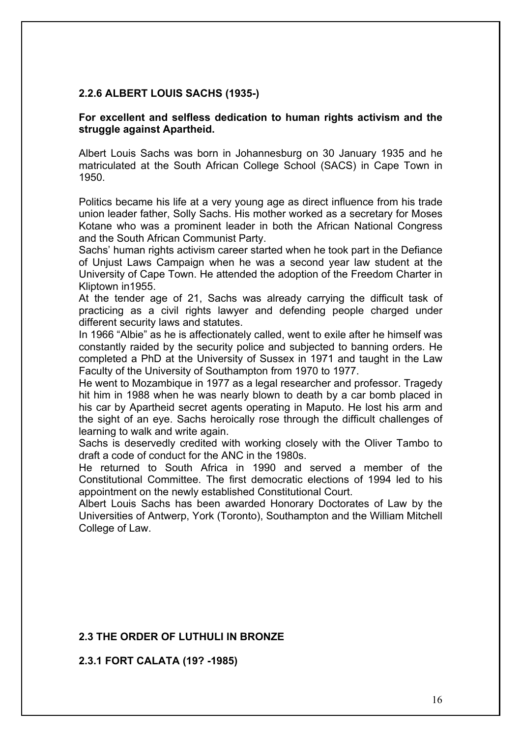### **2.2.6 ALBERT LOUIS SACHS (1935-)**

### **For excellent and selfless dedication to human rights activism and the struggle against Apartheid.**

Albert Louis Sachs was born in Johannesburg on 30 January 1935 and he matriculated at the South African College School (SACS) in Cape Town in 1950.

Politics became his life at a very young age as direct influence from his trade union leader father, Solly Sachs. His mother worked as a secretary for Moses Kotane who was a prominent leader in both the African National Congress and the South African Communist Party.

Sachs' human rights activism career started when he took part in the Defiance of Unjust Laws Campaign when he was a second year law student at the University of Cape Town. He attended the adoption of the Freedom Charter in Kliptown in1955.

At the tender age of 21, Sachs was already carrying the difficult task of practicing as a civil rights lawyer and defending people charged under different security laws and statutes.

In 1966 "Albie" as he is affectionately called, went to exile after he himself was constantly raided by the security police and subjected to banning orders. He completed a PhD at the University of Sussex in 1971 and taught in the Law Faculty of the University of Southampton from 1970 to 1977.

He went to Mozambique in 1977 as a legal researcher and professor. Tragedy hit him in 1988 when he was nearly blown to death by a car bomb placed in his car by Apartheid secret agents operating in Maputo. He lost his arm and the sight of an eye. Sachs heroically rose through the difficult challenges of learning to walk and write again.

Sachs is deservedly credited with working closely with the Oliver Tambo to draft a code of conduct for the ANC in the 1980s.

He returned to South Africa in 1990 and served a member of the Constitutional Committee. The first democratic elections of 1994 led to his appointment on the newly established Constitutional Court.

Albert Louis Sachs has been awarded Honorary Doctorates of Law by the Universities of Antwerp, York (Toronto), Southampton and the William Mitchell College of Law.

### **2.3 THE ORDER OF LUTHULI IN BRONZE**

**2.3.1 FORT CALATA (19? -1985)**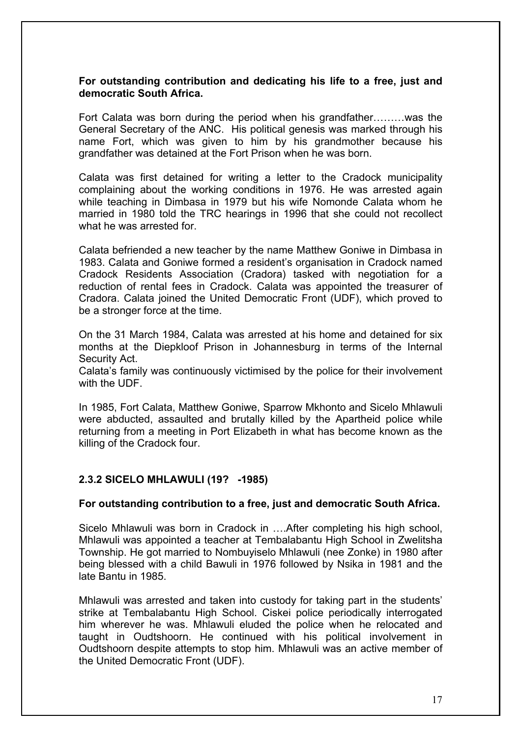### **For outstanding contribution and dedicating his life to a free, just and democratic South Africa.**

Fort Calata was born during the period when his grandfather………was the General Secretary of the ANC. His political genesis was marked through his name Fort, which was given to him by his grandmother because his grandfather was detained at the Fort Prison when he was born.

Calata was first detained for writing a letter to the Cradock municipality complaining about the working conditions in 1976. He was arrested again while teaching in Dimbasa in 1979 but his wife Nomonde Calata whom he married in 1980 told the TRC hearings in 1996 that she could not recollect what he was arrested for.

Calata befriended a new teacher by the name Matthew Goniwe in Dimbasa in 1983. Calata and Goniwe formed a resident's organisation in Cradock named Cradock Residents Association (Cradora) tasked with negotiation for a reduction of rental fees in Cradock. Calata was appointed the treasurer of Cradora. Calata joined the United Democratic Front (UDF), which proved to be a stronger force at the time.

On the 31 March 1984, Calata was arrested at his home and detained for six months at the Diepkloof Prison in Johannesburg in terms of the Internal Security Act.

Calata's family was continuously victimised by the police for their involvement with the UDF.

In 1985, Fort Calata, Matthew Goniwe, Sparrow Mkhonto and Sicelo Mhlawuli were abducted, assaulted and brutally killed by the Apartheid police while returning from a meeting in Port Elizabeth in what has become known as the killing of the Cradock four.

### **2.3.2 SICELO MHLAWULI (19? -1985)**

### **For outstanding contribution to a free, just and democratic South Africa.**

Sicelo Mhlawuli was born in Cradock in ….After completing his high school, Mhlawuli was appointed a teacher at Tembalabantu High School in Zwelitsha Township. He got married to Nombuyiselo Mhlawuli (nee Zonke) in 1980 after being blessed with a child Bawuli in 1976 followed by Nsika in 1981 and the late Bantu in 1985.

Mhlawuli was arrested and taken into custody for taking part in the students' strike at Tembalabantu High School. Ciskei police periodically interrogated him wherever he was. Mhlawuli eluded the police when he relocated and taught in Oudtshoorn. He continued with his political involvement in Oudtshoorn despite attempts to stop him. Mhlawuli was an active member of the United Democratic Front (UDF).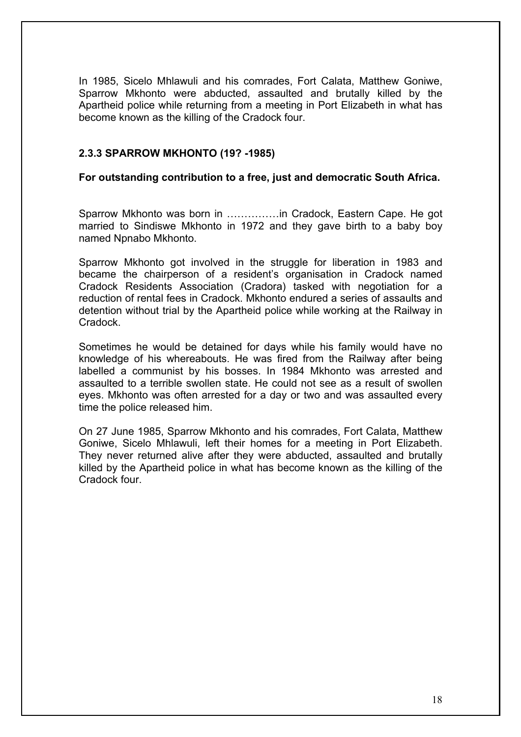In 1985, Sicelo Mhlawuli and his comrades, Fort Calata, Matthew Goniwe, Sparrow Mkhonto were abducted, assaulted and brutally killed by the Apartheid police while returning from a meeting in Port Elizabeth in what has become known as the killing of the Cradock four.

## **2.3.3 SPARROW MKHONTO (19? -1985)**

### **For outstanding contribution to a free, just and democratic South Africa.**

Sparrow Mkhonto was born in ……………in Cradock, Eastern Cape. He got married to Sindiswe Mkhonto in 1972 and they gave birth to a baby boy named Npnabo Mkhonto.

Sparrow Mkhonto got involved in the struggle for liberation in 1983 and became the chairperson of a resident's organisation in Cradock named Cradock Residents Association (Cradora) tasked with negotiation for a reduction of rental fees in Cradock. Mkhonto endured a series of assaults and detention without trial by the Apartheid police while working at the Railway in Cradock.

Sometimes he would be detained for days while his family would have no knowledge of his whereabouts. He was fired from the Railway after being labelled a communist by his bosses. In 1984 Mkhonto was arrested and assaulted to a terrible swollen state. He could not see as a result of swollen eyes. Mkhonto was often arrested for a day or two and was assaulted every time the police released him.

On 27 June 1985, Sparrow Mkhonto and his comrades, Fort Calata, Matthew Goniwe, Sicelo Mhlawuli, left their homes for a meeting in Port Elizabeth. They never returned alive after they were abducted, assaulted and brutally killed by the Apartheid police in what has become known as the killing of the Cradock four.